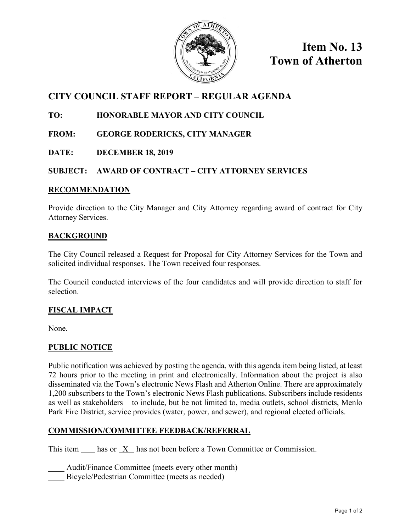

**Item No. 13 Town of Atherton**

# **CITY COUNCIL STAFF REPORT – REGULAR AGENDA**

## **TO: HONORABLE MAYOR AND CITY COUNCIL**

- **FROM: GEORGE RODERICKS, CITY MANAGER**
- **DATE: DECEMBER 18, 2019**

#### **SUBJECT: AWARD OF CONTRACT – CITY ATTORNEY SERVICES**

#### **RECOMMENDATION**

Provide direction to the City Manager and City Attorney regarding award of contract for City Attorney Services.

#### **BACKGROUND**

The City Council released a Request for Proposal for City Attorney Services for the Town and solicited individual responses. The Town received four responses.

The Council conducted interviews of the four candidates and will provide direction to staff for selection.

### **FISCAL IMPACT**

None.

### **PUBLIC NOTICE**

Public notification was achieved by posting the agenda, with this agenda item being listed, at least 72 hours prior to the meeting in print and electronically. Information about the project is also disseminated via the Town's electronic News Flash and Atherton Online. There are approximately 1,200 subscribers to the Town's electronic News Flash publications. Subscribers include residents as well as stakeholders – to include, but be not limited to, media outlets, school districts, Menlo Park Fire District, service provides (water, power, and sewer), and regional elected officials.

### **COMMISSION/COMMITTEE FEEDBACK/REFERRAL**

This item has or X has not been before a Town Committee or Commission.

Audit/Finance Committee (meets every other month)

Bicycle/Pedestrian Committee (meets as needed)